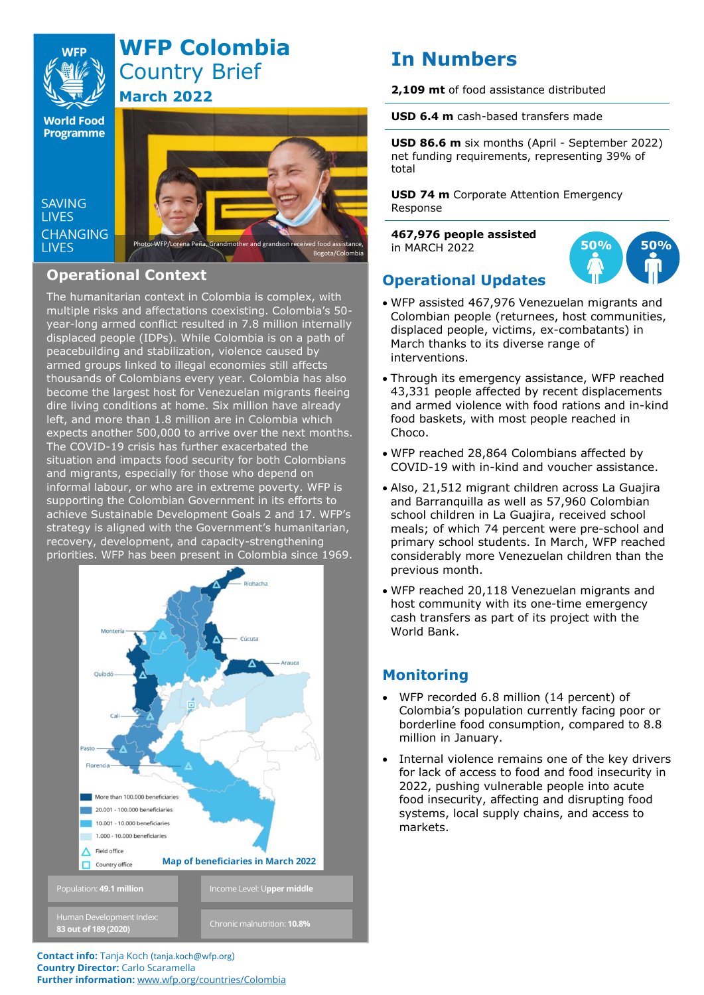

# **WFP Colombia**  Country Brief **March 2022**

**World Food Programme** 

SAVING **TIVES CHANGING I IVES** 



# **Operational Context**

The humanitarian context in Colombia is complex, with multiple risks and affectations coexisting. Colombia's 50 year-long armed conflict resulted in 7.8 million internally displaced people (IDPs). While Colombia is on a path of peacebuilding and stabilization, violence caused by armed groups linked to illegal economies still affects thousands of Colombians every year. Colombia has also become the largest host for Venezuelan migrants fleeing dire living conditions at home. Six million have already left, and more than 1.8 million are in Colombia which expects another 500,000 to arrive over the next months. The COVID-19 crisis has further exacerbated the situation and impacts food security for both Colombians and migrants, especially for those who depend on informal labour, or who are in extreme poverty. WFP is supporting the Colombian Government in its efforts to achieve Sustainable Development Goals 2 and 17. WFP's strategy is aligned with the Government's humanitarian, recovery, development, and capacity-strengthening priorities. WFP has been present in Colombia since 1969.



# **In Numbers**

**2,109 mt** of food assistance distributed

**USD 6.4 m** cash-based transfers made

**USD 86.6 m** six months (April - September 2022) net funding requirements, representing 39% of total

**USD 74 m** Corporate Attention Emergency Response

**467,976 people assisted**  in MARCH 2022



# **Operational Updates**

- WFP assisted 467,976 Venezuelan migrants and Colombian people (returnees, host communities, displaced people, victims, ex-combatants) in March thanks to its diverse range of interventions.
- Through its emergency assistance, WFP reached 43,331 people affected by recent displacements and armed violence with food rations and in-kind food baskets, with most people reached in Choco.
- WFP reached 28,864 Colombians affected by COVID-19 with in-kind and voucher assistance.
- Also, 21,512 migrant children across La Guajira and Barranquilla as well as 57,960 Colombian school children in La Guajira, received school meals; of which 74 percent were pre-school and primary school students. In March, WFP reached considerably more Venezuelan children than the previous month.
- WFP reached 20,118 Venezuelan migrants and host community with its one-time emergency cash transfers as part of its project with the World Bank.

# **Monitoring**

- WFP recorded 6.8 million (14 percent) of Colombia's population currently facing poor or borderline food consumption, compared to [8.8](https://static.hungermapdata.org/insight-reports/2022-04-08/col-summary.pdf)  [million](https://static.hungermapdata.org/insight-reports/2022-04-08/col-summary.pdf) in January.
- Internal violence remains one of the [key drivers](https://static.hungermapdata.org/insight-reports/2022-04-08/col-conflict.pdf) for lack of access to food and food insecurity in 2022, pushing vulnerable people into acute food insecurity, affecting and disrupting food systems, local supply chains, and access to markets.

**Contact info:** Tanja Koch ([tanja.koch@wfp.org](mailto:tanja.koch@wfp.org)) **Country Director:** Carlo Scaramella **Further information:** [www.wfp.org/countries/Colombia](http://www.wfp.org/countries/Colombia)